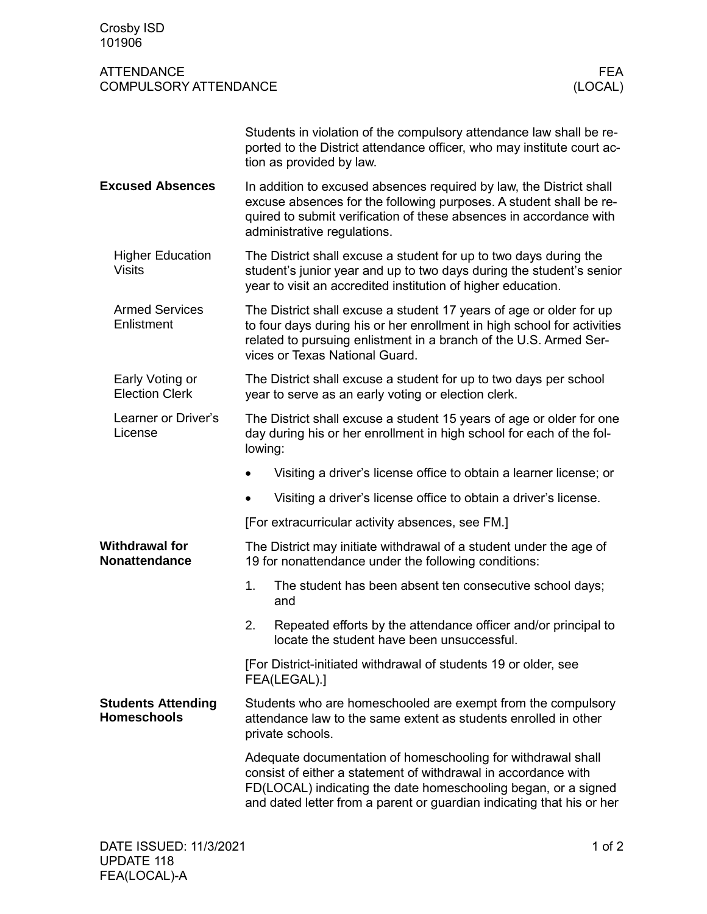| Crosby ISD<br>101906                              |                                                                                                                                                                                                                                                                           |
|---------------------------------------------------|---------------------------------------------------------------------------------------------------------------------------------------------------------------------------------------------------------------------------------------------------------------------------|
| <b>ATTENDANCE</b><br><b>COMPULSORY ATTENDANCE</b> | <b>FEA</b><br>(LOCAL)                                                                                                                                                                                                                                                     |
|                                                   | Students in violation of the compulsory attendance law shall be re-<br>ported to the District attendance officer, who may institute court ac-<br>tion as provided by law.                                                                                                 |
| <b>Excused Absences</b>                           | In addition to excused absences required by law, the District shall<br>excuse absences for the following purposes. A student shall be re-<br>quired to submit verification of these absences in accordance with<br>administrative regulations.                            |
| <b>Higher Education</b><br><b>Visits</b>          | The District shall excuse a student for up to two days during the<br>student's junior year and up to two days during the student's senior<br>year to visit an accredited institution of higher education.                                                                 |
| <b>Armed Services</b><br>Enlistment               | The District shall excuse a student 17 years of age or older for up<br>to four days during his or her enrollment in high school for activities<br>related to pursuing enlistment in a branch of the U.S. Armed Ser-<br>vices or Texas National Guard.                     |
| Early Voting or<br><b>Election Clerk</b>          | The District shall excuse a student for up to two days per school<br>year to serve as an early voting or election clerk.                                                                                                                                                  |
| Learner or Driver's<br>License                    | The District shall excuse a student 15 years of age or older for one<br>day during his or her enrollment in high school for each of the fol-<br>lowing:                                                                                                                   |
|                                                   | Visiting a driver's license office to obtain a learner license; or<br>$\bullet$                                                                                                                                                                                           |
|                                                   | Visiting a driver's license office to obtain a driver's license.                                                                                                                                                                                                          |
|                                                   | [For extracurricular activity absences, see FM.]                                                                                                                                                                                                                          |
| <b>Withdrawal for</b><br><b>Nonattendance</b>     | The District may initiate withdrawal of a student under the age of<br>19 for nonattendance under the following conditions:                                                                                                                                                |
|                                                   | 1.<br>The student has been absent ten consecutive school days;<br>and                                                                                                                                                                                                     |
|                                                   | 2.<br>Repeated efforts by the attendance officer and/or principal to<br>locate the student have been unsuccessful.                                                                                                                                                        |
|                                                   | [For District-initiated withdrawal of students 19 or older, see<br>FEA(LEGAL).]                                                                                                                                                                                           |
| <b>Students Attending</b><br><b>Homeschools</b>   | Students who are homeschooled are exempt from the compulsory<br>attendance law to the same extent as students enrolled in other<br>private schools.                                                                                                                       |
|                                                   | Adequate documentation of homeschooling for withdrawal shall<br>consist of either a statement of withdrawal in accordance with<br>FD(LOCAL) indicating the date homeschooling began, or a signed<br>and dated letter from a parent or guardian indicating that his or her |